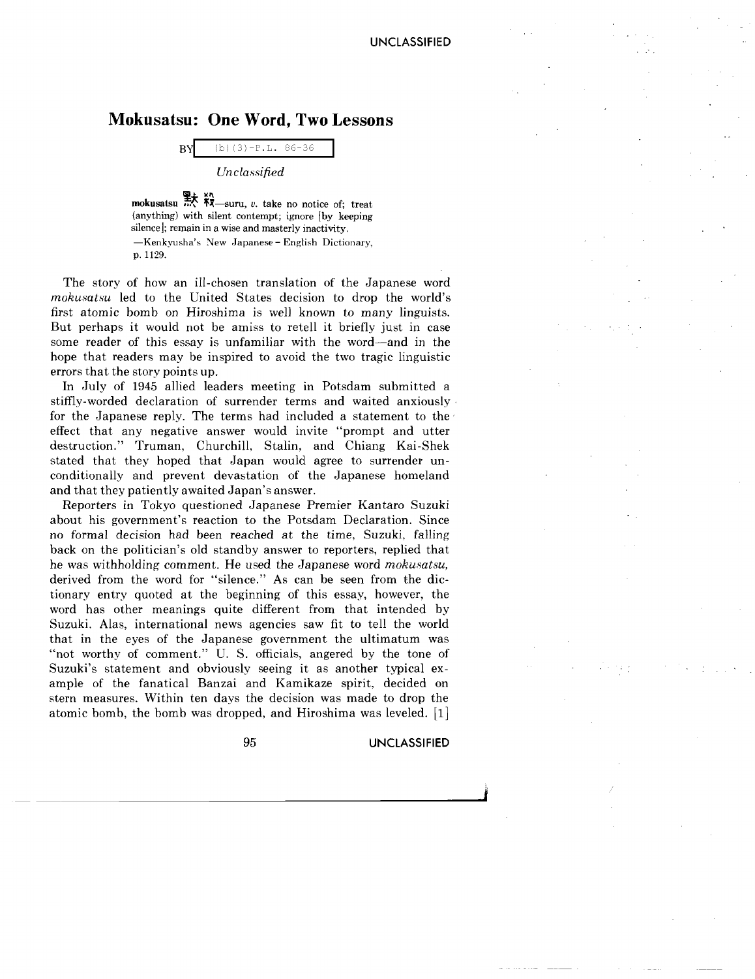## **Mokusatsu: One Word, Two Lessons**

BY (b)  $(3) - P.L. 86-36$ 

*Unclassified*

**11;-** >(1\ mokusatsu ..., 'l1-suru, *v.* take no notice of; treat (anything) with silent contempt; ignore [by keeping silence]; remain in a wise and masterly inactivity. -Kenkyusha's *New* Japanese - English Dictionary, p.1129.

The story of how an ill-chosen translation of the Japanese word *mohusatsa* led to the United States decision to drop the world's first atomic bomb on Hiroshima is well known to many linguists. But perhaps it would not be amiss to retell it briefly just in case some reader of this essay is unfamiliar with the word-and in the hope that readers may be inspired to avoid the two tragic linguistic errors that the story points up.

In July of 1945 allied leaders meeting in Potsdam submitted a stiffly-worded declaration of surrender terms and waited anxiously· for the Japanese reply. The terms had included a statement to the effect that any negative answer would invite "prompt and utter destruction." Truman, Churchill, Stalin, and Chiang Kai-Shek stated that they hoped that Japan would agree to surrender unconditionally and prevent devastation of the Japanese homeland and that they patiently awaited Japan's answer.

Reporters in Tokyo questioned Japanese Premier Kantaro Suzuki about his government's reaction to the Potsdam Declaration. Since no formal decision had been reached at the time, Suzuki, falling back on the politician's old standby answer to reporters, replied that he was withholding comment. He used the Japanese word *mohusatsu,* derived from the word for "silence." As can be seen from the dictionary entry quoted at the beginning of this essay, however, the word has other meanings quite different from that intended by Suzuki. Alas, international news agencies saw fit to tell the world that in the eyes of the Japanese government the ultimatum was "not worthy of comment." U. S. officials, angered by the tone of Suzuki's statement and obviously seeing it as another typical example of the fanatical Banzai and Kamikaze spirit, decided on stern measures. Within ten days the decision was made to drop the atomic bomb, the bomb was dropped, and Hiroshima was leveled. [1]

95 **UNCLASSIFIED**

I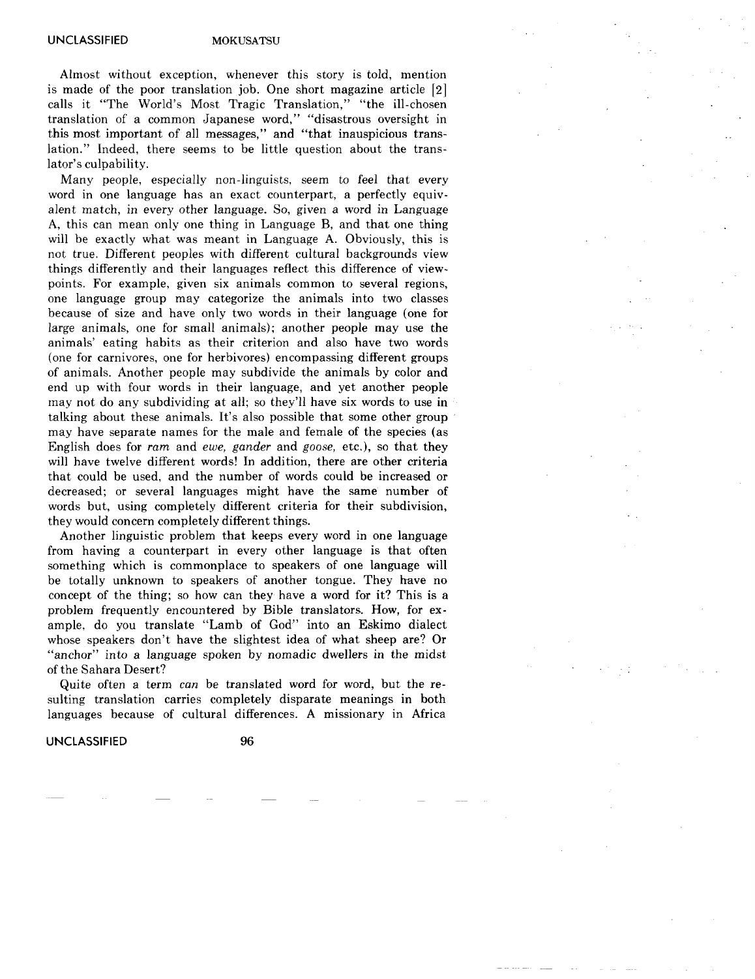Almost without exception, whenever this story is told, mention is made of the poor translation job. One short magazine article [2] calls it "The World's Most Tragic Translation," "the ill-chosen translation of a common Japanese word," "disastrous oversight in this most important of all messages," and "that inauspicious translation." Indeed, there seems to be little question about the translator's culpability.

Many people, especially non-linguists, seem to feel that every word in one language has an exact counterpart, a perfectly equivalent match, in every other language. So, given a word in Language A, this can mean only one thing in Language B, and that one thing will be exactly what was meant in Language A. Obviously, this is not true. Different peoples with different cultural backgrounds view things differently and their languages reflect this difference of viewpoints. For example, given six animals common to several regions, one language group may categorize the animals into two classes because of size and have only two words in their language (one for large animals, one for small animals); another people may use the animals' eating habits as their criterion and also have two words (one for carnivores, one for herbivores) encompassing different groups of animals. Another people may subdivide the animals by color and end up with four words in their language, and yet another people may not do any subdividing at all; so they'll have six words to use in talking about these animals. It's also possible that some other group may have separate names for the male and female of the species (as English does for *ram* and *ewe, gander* and *goose,* etc.), so that they will have twelve different words! **In** addition, there are other criteria that could be used, and the number of words could be increased or decreased; or several languages might have the same number of words but, using completely different criteria for their subdivision, they would concern completely different things.

Another linguistic problem that keeps every word in one language from having a counterpart in every other language is that often something which is commonplace to speakers of one language will be totally unknown to speakers of another tongue. They have no concept of the thing; so how can they have a word for it? This is a problem frequently encountered by Bible translators. How, for example, do you translate "Lamb of God" into an Eskimo dialect whose speakers don't have the slightest idea of what sheep are? Or "anchor" into a language spoken by nomadic dwellers in the midst of the Sahara Desert?

Quite often a term can be translated word for word, but the resulting translation carries completely disparate meanings in both languages because of cultural differences. A missionary in Africa

**UNCLASSIFIED** 96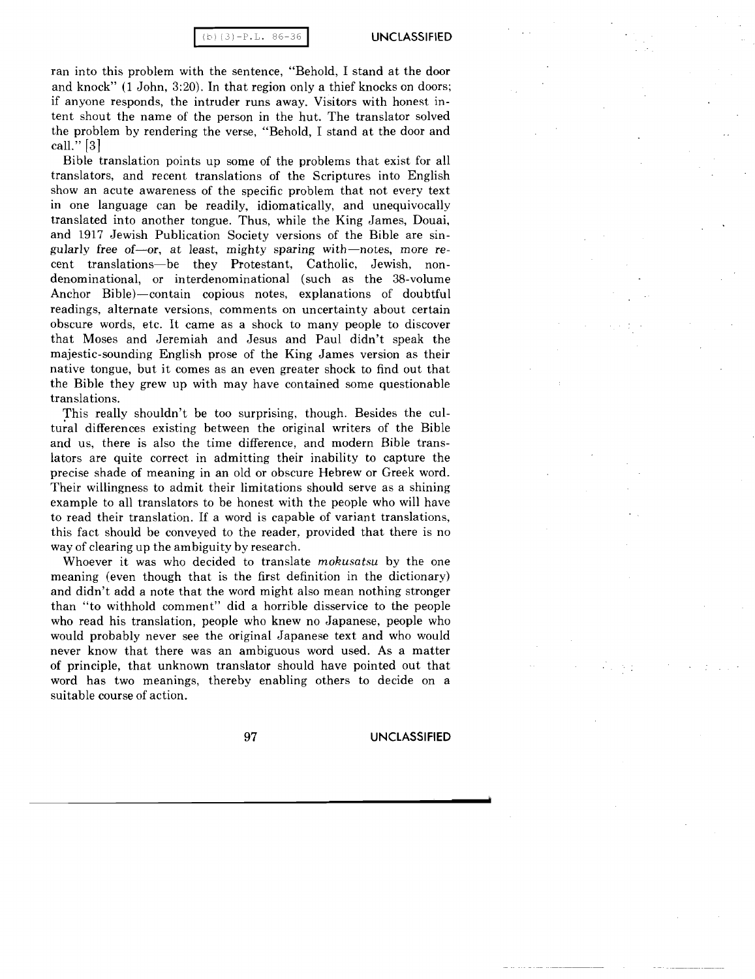ran into this problem with the sentence, "Behold, I stand at the door and knock" (1 John, 3:20). In that region only a thief knocks on doors; if anyone responds, the intruder runs away. Visitors with honest intent shout the name of the person in the hut. The translator solved the problem by rendering the verse, "Behold, I stand at the door and call." [3]

Bible translation points up some of the problems that exist for all translators, and recent translations of the Scriptures into English show an acute awareness of the specific problem that not every text in one language can be readily, idiomatically, and unequivocally translated into another tongue. Thus, while the King James, Douai, and 1917 Jewish Publication Society versions of the Bible are singularly free of-or, at least, mighty sparing with-notes, more recent translations-be they Protestant, Catholic, Jewish, nondenominational, or interdenominational (such as the 38-volume Anchor Bible)-contain copious notes, explanations of doubtful readings, alternate versions, comments on uncertainty about certain obscure words, etc. It came as a shock to many people to discover that Moses and Jeremiah and Jesus and Paul didn't speak the majestic-sounding English prose of the King James version as their native tongue, but it comes as an even greater shock to find out that the Bible they grew up with may have contained some questionable translations.

This really shouldn't be too surprising, though. Besides the cultural differences existing between the original writers of the Bible and us, there is also the time difference, and modern Bible translators are quite correct in admitting their inability to capture the precise shade of meaning in an old or obscure Hebrew or Greek word. Their willingness to admit their limitations should serve as a shining example to all translators to be honest with the people who will have to read their translation. If a word is capable of variant translations, this fact should be conveyed to the reader, provided that there is no way of clearing up the ambiguity by research.

Whoever it was who decided to translate *mokusatsu* by the one meaning (even though that is the first definition in the dictionary) and didn't add a note that the word might also mean nothing stronger than "to withhold comment" did a horrible disservice to the people who read his translation, people who knew no Japanese, people who would probably never see the original Japanese text and who would never know that there was an ambiguous word used. As a matter of principle, that unknown translator should have pointed out that word has two meanings, thereby enabling others to decide on a suitable course of action.

97 **UNCLASSIFIED**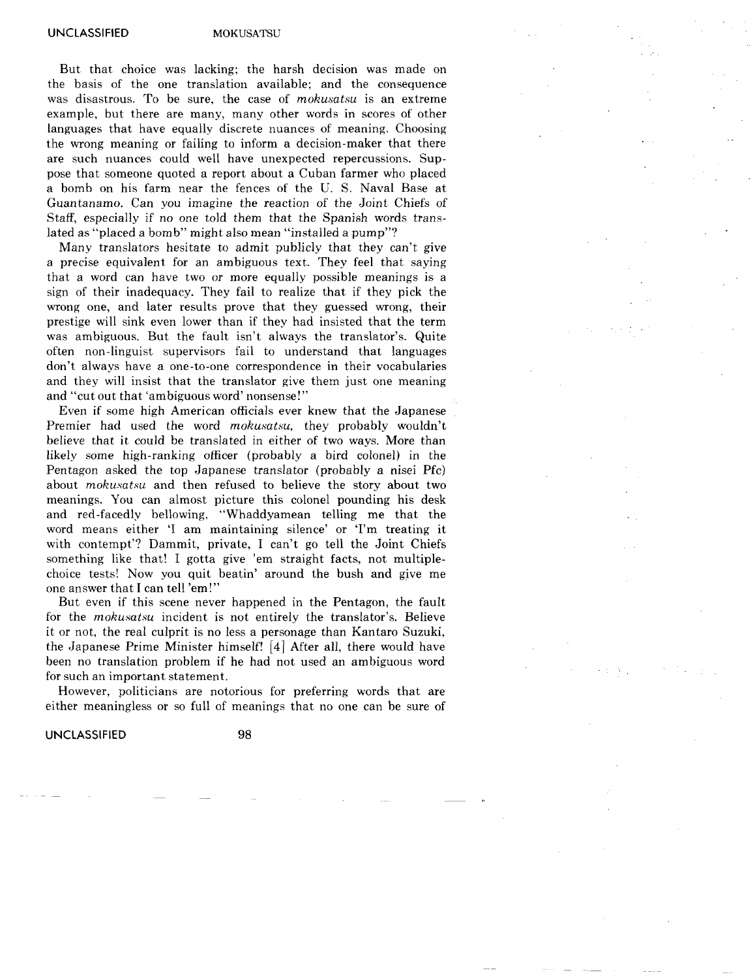UNCLASSIFIED MOKUSATSU

But that choice was lacking; the harsh decision was made on the basis of the one translation available; and the consequence was disastrous. To be sure, the case of *mohusatsu* is an extreme example, but there are many, many other words in scores of other languages that have equally discrete nuances of meaning. Choosing the wrong meaning or failing to inform a decision-maker that there are such nuances could well have unexpected repercussions. Suppose that someone quoted a report about a Cuban farmer who placed a bomb on his farm near the fences of the U. S. Naval Base at Guantanamo. Can you imagine the reaction of the Joint Chiefs of Staff, especially if no one told them that the Spanish words translated as "placed a bomb" might also mean "installed a pump"?

Many translators hesitate to admit publicly that they can't give a precise equivalent for an ambiguous text. They feel that saying that a word can have two or more equally possible meanings is a sign of their inadequacy. They fail to realize that if they pick the wrong one, and later results prove that they guessed wrong, their prestige will sink even lower than if they had insisted that the term was ambiguous. But the fault isn't always the translator's. Quite often non-linguist supervisors fail to understand that languages don't always have a one-to-one correspondence in their vocabularies and they will insist that the translator give them just one meaning and "cut out that 'ambiguous word' nonsense!"

Even if some high American officials ever knew that the Japanese Premier had used the word *mokusatsu,* they probably wouldn't believe that it could be translated in either of two ways. More than likely some high-ranking officer (probably a bird colonel) in the Pentagon asked the top Japanese translator (probably a nisei Pfc) about *mokusatsu* and then refused to believe the story about two meanings. You can almost picture this colonel pounding his desk and red-facedly bellowing, "Whaddyamean telling me that the word means either 'I am maintaining silence' or 'I'm treating it with contempt'? Dammit, private, I can't go tell the Joint Chiefs something like that! I gotta give 'em straight facts, not multiplechoice tests! Now you quit beatin' around the bush and give me one answer that I can tell 'em!"

But even if this scene never happened in the Pentagon, the fault for the *mokusatsa* incident is not entirely the translator's. Believe it or not, the real culprit is no less a personage than Kantaro Suzuki, the Japanese Prime Minister himself! [4] After all, there would have been no translation problem if he had not used an ambiguous word for such an important statement.

However, politicians are notorious for preferring words that are either meaningless or so full of meanings that no one can be sure of

**UNCLASSIFIED** 98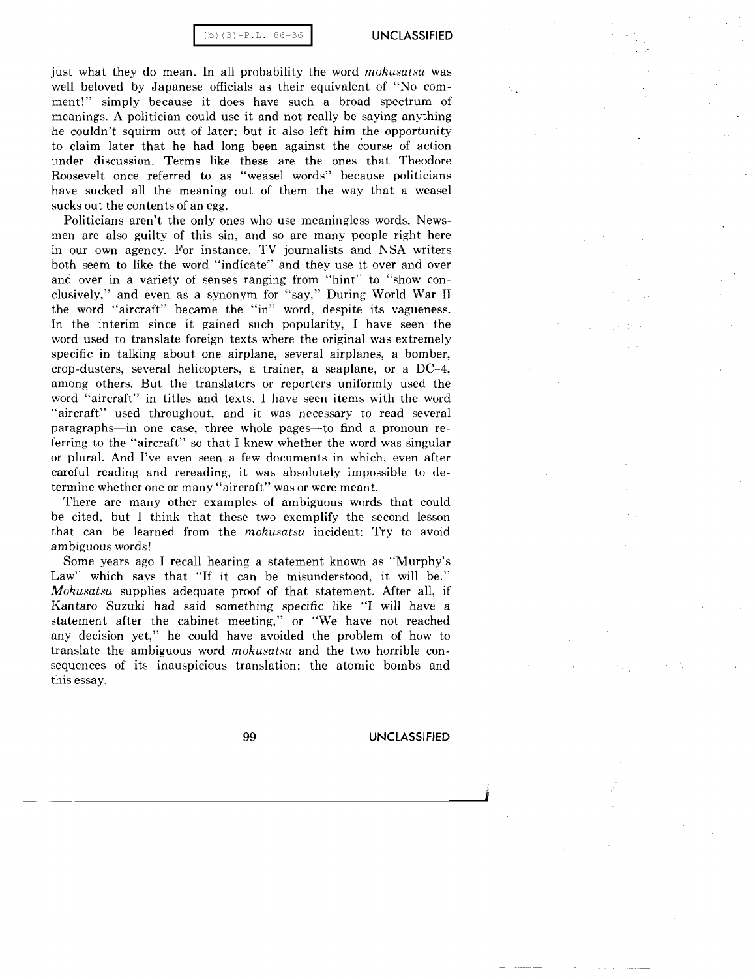(b) (3)-P.L. 86-36 **I UNCLASSIFIED**

just what they do mean. In all probability the word *mohusatsu* was well beloved by Japanese officials as their equivalent of "No comment!" simply because it does have such a broad spectrum of meanings. A politician could use it and not really be saying anything he couldn't squirm out of later; but it also left him the opportunity to claim later that he had long been against the course of action under discussion. Terms like these are the ones that Theodore Roosevelt once referred to as "weasel words" because politicians have sucked all the meaning out of them the way that a weasel sucks out the contents of an egg.

Politicians aren't the only ones who use meaningless words. Newsmen are also guilty of this sin, and so are many people right here in our own agency. For instance, TV journalists and NSA writers both seem to like the word "indicate" and they use it over and over and over in a variety of senses ranging from "hint" to "show conclusively," and even as a synonym for "say." During World War II the word "aircraft" became the "in" word, despite its vagueness. In the interim since it gained such popularity, I have seen' the word used to translate foreign texts where the original was extremely specific in talking about one airplane, several airplanes, a bomber, crop-dusters, several helicopters, a trainer, a seaplane, or a DC-4, among others. But the translators or reporters uniformly used the word "aircraft" in titles and texts. I have seen items with the word "aircraft" used throughout, and it was necessary to read several paragraphs-in one case, three whole pages-to find a pronoun referring to the "aircraft" so that I knew whether the word was singular or plural. And I've even seen a few documents in which, even after careful reading and rereading, it was absolutely impossible to determine whether one or many "aircraft" was or were meant.

There are many other examples of ambiguous words that could be cited, but I think that these two exemplify the second lesson that can be learned from the *mohusatsu* incident: Try to avoid ambiguous words!

Some years ago I recall hearing a statement known as "Murphy's Law" which says that "If it can be misunderstood, it will be." *Mohusatsu* supplies adequate proof of that statement. After all, if Kantaro Suzuki had said something specific like "I will have a statement after the cabinet meeting," or "We have not reached any decision yet," he could have avoided the problem of how to translate the ambiguous word *mohusatsu* and the two horrible consequences of its inauspicious translation: the atomic bombs and this essay.

99 **UNCLASSIFIED**

j